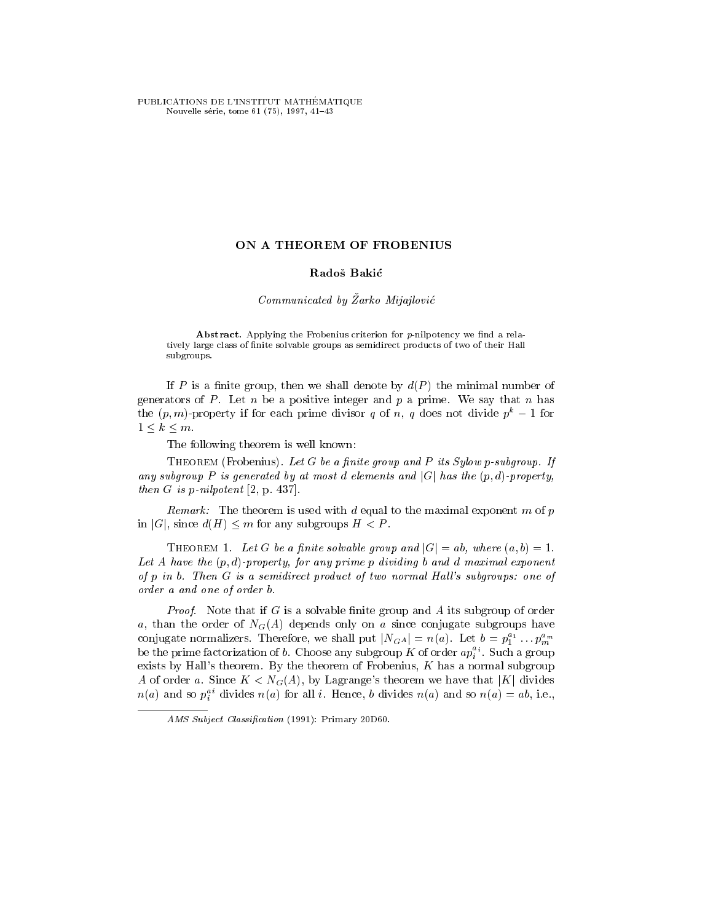PUBLICATIONS DE L'INSTITUT MATHÉMATIQUE Nouvelle série, tome 61 (75), 1997, 41-43

# ON A THEOREM OF FROBENIUS

### Rados Bakic

# $Communicated$  by  $\zeta$ arko Mijajlović

Abstract. Applying the Frobenius criterion for  $p$ -nilpotency we find a relatively large class of nite solvable groups as semidirect products of two of their Hall subgroups.

If P is a finite group, then we shall denote by  $d(P)$  the minimal number of generators of P. Let n be a positive integer and p a prime. We say that n has the  $(p, m)$ -property if for each prime divisor q of n, q does not divide  $p<sup>k</sup> - 1$  for  $1 \leq k \leq m$ .

The following theorem is well known:

THEOREM (Frobenius). Let  $G$  be a finite group and  $P$  its Sylow p-subgroup. If any subgroup P is generated by at most d elements and  $|G|$  has the  $(p,d)$ -property, then  $G$  is  $p$ -nilpotent  $[2, p. 437]$ .

Remark: The theorem is used with d equal to the maximal exponent m of  $p$ in |G|, since  $d(H) \leq m$  for any subgroups  $H < P$ .

THEOREM 1. Let G be a finite solvable group and  $|G|=ab$ , where  $(a, b)=1$ . Let A have the  $(p, d)$ -property, for any prime p dividing b and d maximal exponent of  $p$  in  $b$ . Then  $G$  is a semidirect product of two normal Hall's subgroups: one of order a and one of order b.

*Proof.* Note that if G is a solvable finite group and A its subgroup of order a, than the order of  $N_G(A)$  depends only on a since conjugate subgroups have conjugate normalizers. Therefore, we shall put  $|N_{G^A}| = n(a)$ . Let  $b = p_1^{a_1} \dots p_m^{a_m}$ be the prime factorization of b. Choose any subgroup K of order  $ap_i^{a_i}$ . Such a group exists by Hall's theorem. By the theorem of Frobenius,  $K$  has a normal subgroup A of order a. Since  $K < N<sub>G</sub>(A)$ , by Lagrange's theorem we have that |K| divides  $n(a)$  and so  $p_i^{\pm}$  divides  $n(a)$  for all i. Hence, b divides  $n(a)$  and so  $n(a) \equiv a_0$ , i.e.,

AMS Subject Classification (1991): Primary 20D60.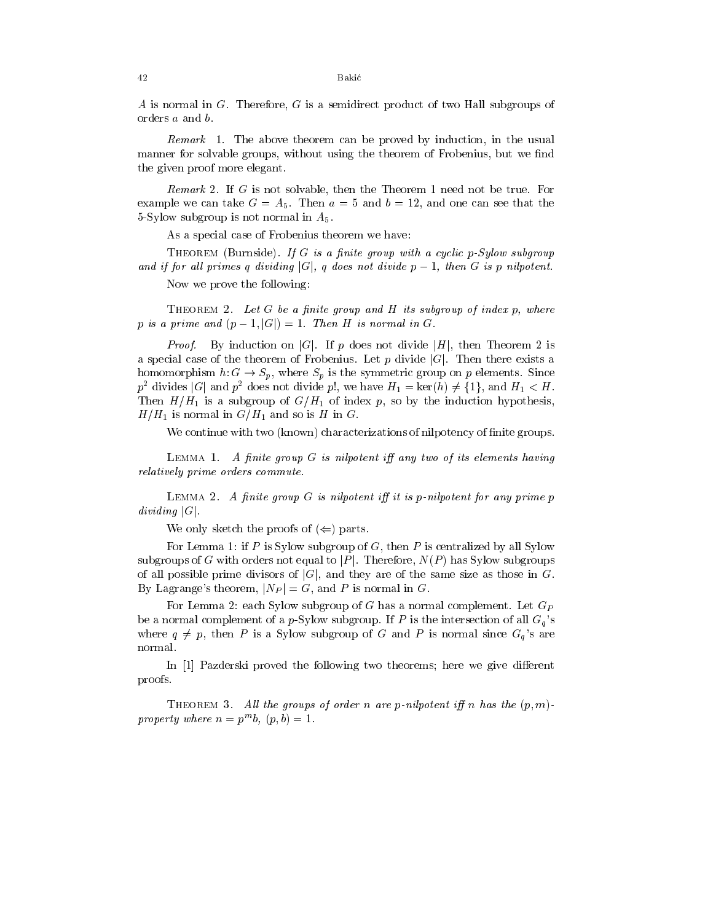A is normal in G. Therefore, G is a semidirect product of two Hall subgroups of orders a and b.

Remark 1. The above theorem can be proved by induction, in the usual manner for solvable groups, without using the theorem of Frobenius, but we find the given proof more elegant.

Remark 2. If G is not solvable, then the Theorem 1 need not be true. For example we can take  $G = A_5$ . Then  $a = 5$  and  $b = 12$ , and one can see that the 5-Sylow subgroup is not normal in  $A_5$ .

As a special case of Frobenius theorem we have:

THEOREM (Burnside). If G is a finite group with a cyclic p-Sylow subgroup and if for all primes q dividing  $|G|$ , q does not divide  $p-1$ , then G is p nilpotent.

Now we prove the following:

THEOREM 2. Let  $G$  be a finite group and  $H$  its subgroup of index  $p$ , where p is a prime and  $(p-1, |G|)=1$ . Then H is normal in G.

*Proof.* By induction on |G|. If p does not divide |H|, then Theorem 2 is a special case of the theorem of Frobenius. Let p divide  $|G|$ . Then there exists a homomorphism  $h: G \to S_p$ , where  $S_p$  is the symmetric group on p elements. Since  $p^2$  divides |G| and  $p^2$  does not divide p!, we have  $H_1 = \text{ker}(h) \neq \{1\}$ , and  $H_1 < H$ . Then  $H/H_1$  is a subgroup of  $G/H_1$  of index p, so by the induction hypothesis,  $H/H_1$  is normal in  $G/H_1$  and so is H in G.

We continue with two (known) characterizations of nilpotency of finite groups.

LEMMA 1. A finite group  $G$  is nilpotent iff any two of its elements having relatively prime orders commute.

LEMMA 2. A finite group  $G$  is nilpotent iff it is p-nilpotent for any prime p dividing  $|G|$ .

We only sketch the proofs of  $(\Leftarrow)$  parts.

For Lemma 1: if P is Sylow subgroup of G, then P is centralized by all Sylow subgroups of G with orders not equal to  $|P|$ . Therefore,  $N(P)$  has Sylow subgroups of all possible prime divisors of  $|G|$ , and they are of the same size as those in G. By Lagrange's theorem,  $|N_P| = G$ , and P is normal in G.

For Lemma 2: each Sylow subgroup of  $G$  has a normal complement. Let  $G_P$ be a normal complement of a p-Sylow subgroup. If P is the intersection of all  $G_q$ 's where  $q \neq p$ , then P is a Sylow subgroup of G and P is normal since  $G_q$ 's are normal.

In [1] Pazderski proved the following two theorems; here we give different proofs.

THEOREM 3. All the groups of order n are p-nilpotent iff n has the  $(p, m)$ property where  $n = p \cdot b$ ,  $(p, b) = 1$ .